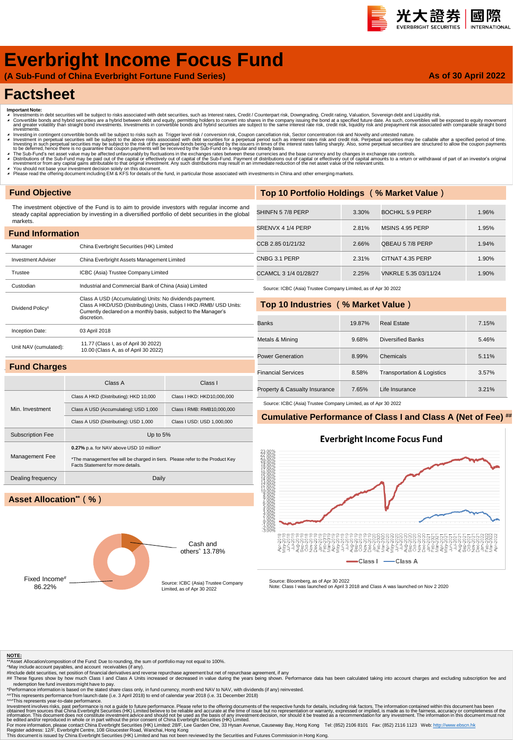# 光大證券 國際

# **Everbright Income Focus Fund**

**(A Sub-Fund of China Everbright Fortune Fund Series)**

## **As of 30 April 2022**

# **Factsheet**

- 
- Important Note:<br>▲ Investments in debt securities will be subject to risks associated with debt securities, such as Interest rates, Credit / Counterpart risk, Downgrading, Credit rating, Valuation, Sovereign debt and Liqui
- nvestinents.<br>Investing in contingent convertible bonds will be subject to risks such as Trigger level risk / conversion risk, Coupon cancellation risk, Sector concentration risk and Novelty and untested nature. Investment in perpetual securities will be subject to the above risks associated with debt securities for a perpetual period such as interest rates risk and credit risk. Perpetual securities may be callable after a specifi
- ▲ The Sub-Fund's net asset value may be affected unfavourably by fluctuations in the exchanges rates between these currencies and the base currency and by changes in exchange rate controls.<br>▲ Distributions of the Sub-Fund
- 
- ∡ You should not base your investment decision solely on this document.<br>◢ Please read the offering document including EM & KFS for details of the fund, in particular those associated with investments in China and other em

# **Fund Objective**

The investment objective of the Fund is to aim to provide investors with regular income and steady capital appreciation by investing in a diversified portfolio of debt securities in the global markets.

| <b>Fund Information</b>      |                                                                                                                                                                                                                  |
|------------------------------|------------------------------------------------------------------------------------------------------------------------------------------------------------------------------------------------------------------|
| Manager                      | China Everbright Securities (HK) Limited                                                                                                                                                                         |
| <b>Investment Adviser</b>    | China Everbright Assets Management Limited                                                                                                                                                                       |
| Trustee                      | ICBC (Asia) Trustee Company Limited                                                                                                                                                                              |
| Custodian                    | Industrial and Commercial Bank of China (Asia) Limited                                                                                                                                                           |
| Dividend Policy <sup>1</sup> | Class A USD (Accumulating) Units: No dividends payment.<br>Class A HKD/USD (Distributing) Units, Class I HKD / RMB/ USD Units:<br>Currently declared on a monthly basis, subject to the Manager's<br>discretion. |
| Inception Date:              | 03 April 2018                                                                                                                                                                                                    |
| Unit NAV (cumulated):        | 11.77 (Class I, as of April 30 2022)<br>10.00 (Class A, as of April 30 2022)                                                                                                                                     |
| <b>Fund Charges</b>          |                                                                                                                                                                                                                  |

| Top 10 Portfolio Holdings (% Market Value) |       |                      |       |  |  |  |  |  |  |  |  |
|--------------------------------------------|-------|----------------------|-------|--|--|--|--|--|--|--|--|
|                                            |       |                      |       |  |  |  |  |  |  |  |  |
| SHINFN 57/8 PERP                           | 3.30% | BOCHKL 5.9 PERP      | 1.96% |  |  |  |  |  |  |  |  |
| SRENVX 4 1/4 PERP                          | 2.81% | MSINS 4.95 PERP      | 1.95% |  |  |  |  |  |  |  |  |
| CCB 2.85 01/21/32                          | 2.66% | QBEAU 57/8 PERP      | 1.94% |  |  |  |  |  |  |  |  |
| CNBG 3.1 PERP                              | 2.31% | CITNAT 4.35 PERP     | 1.90% |  |  |  |  |  |  |  |  |
| CCAMCL 3 1/4 01/28/27                      | 2.25% | VNKRLE 5.35 03/11/24 | 1.90% |  |  |  |  |  |  |  |  |

Source: ICBC (Asia) Trustee Company Limited, as of Apr 30 2022

## **Top 10 Industries (% Market Value)**

| <b>Banks</b>                  | 19.87% | Real Estate                           | 7.15% |
|-------------------------------|--------|---------------------------------------|-------|
| Metals & Mining               | 9.68%  | <b>Diversified Banks</b>              | 5.46% |
| Power Generation              | 8.99%  | Chemicals                             | 5.11% |
| <b>Financial Services</b>     | 8.58%  | <b>Transportation &amp; Logistics</b> | 3.57% |
| Property & Casualty Insurance | 7.65%  | Life Insurance                        | 3.21% |

Source: ICBC (Asia) Trustee Company Limited, as of Apr 30 2022

## **Cumulative Performance of Class I and Class A (Net of Fee) ##**

### **Everbright Income Focus Fund**





Class A Class I

Class A HKD (Distributing): HKD 10,000 Class I HKD: HKD10,000,000 Class A USD (Accumulating): USD 1,000 Class I RMB: RMB10,000,000 Class A USD (Distributing): USD 1,000 Class I USD: USD 1,000,000

# **Asset Allocation\*\*(%)**

Min. Investment



Source: Bloomberg, as of Apr 30 2022 Note: Class I was launched on April 3 2018 and Class A was launched on Nov 2 2020

2019<br>2019<br>2019

 $|Class|$  –

asses

특운통통증

-Class A

#### **NOTE:**

 $\frac{1}{2}$  Asset Allocation/composition of the Fund: Due to rounding, the sum of portfolio may not equal to 100%.

- 
- ^May include account payables, and account receivables (if any).<br>#Include debt securities, net position of financial derivatives and reverse repurchase agreement but net of repurchase agreement, if any<br>## These figures sho

redemption fee fund investors might have to pay.<br>"Performance information is based on the stated share class only, in fund currency, month end NAV to NAV, with dividends (if any) reinvested.<br>^^This represents performance

^^^This represents year-to-date performance.

Investment involves risks, past performance is not a guide to future performance. Please refer to the offering documents of the expective substanced from sources that China Everbright Securities (HK) Limited believe to be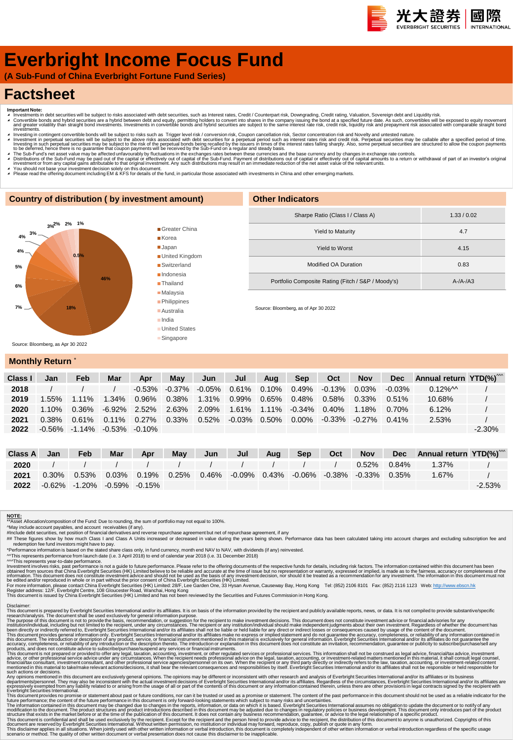# **Everbright Income Focus Fund**

**(A Sub-Fund of China Everbright Fortune Fund Series)**

# **Factsheet**

- 
- Important Note:<br>▲ Investments in debt securities will be subject to risks associated with debt securities, such as Interest rates, Credit / Counterpart risk, Downgrading, Credit rating, Valuation, Sovereign debt and Equid πνestinems.<br>Πανεsting in contingent convertible bonds will be subject to risks such as Trigger level risk / conversion risk, Coupon cancellation risk, Sector concentration risk and Novelty and untested nature.
- Investment in perpetual securities will be subject to the above risks associated with debt securities for a perpetual period such as interest rates risk and credit risk. Perpetual securities may be callable after a specifi
- A The Sub-Fund's net asset value may be affected unfavourably by fluctuations in the exchanges rates between these currencies and the base currency and by changes in exchange rate controls.<br>A Distributions of the Sub-Fund
- 
- ∡ You should not base your investment decision solely on this document.<br>▲ Please read the offering document including EM & KFS for details of the fund, in particular those associated with investments in China and other em

## **Country of distribution ( by investment amount)**



Greater China Korea Japan ■ United Kingdom Switzerland **Indonesia Thailand** ■ Malavsia **Philippines** Australia

> India **United States Singapore**

| Sharpe Ratio (Class I / Class A)                   | 1.33/0.02 |
|----------------------------------------------------|-----------|
| <b>Yield to Maturity</b>                           | 4.7       |
| Yield to Worst                                     | 4.15      |
| Modified OA Duration                               | 0.83      |
| Portfolio Composite Rating (Fitch / S&P / Moody's) | $A-A-A3$  |
|                                                    |           |

Source: Bloomberg, as of Apr 30 2022

**Other Indicators**

# **Monthly Return**

| Class | Jan      | Feb                                     | Mar      | Apr       | May                 | Jun      | Jul    | Aua      | <b>Sep</b>                  | Oct       | <b>Nov</b> | <b>Dec</b> | Annual return $YTD(\%)^{m}$ |           |
|-------|----------|-----------------------------------------|----------|-----------|---------------------|----------|--------|----------|-----------------------------|-----------|------------|------------|-----------------------------|-----------|
| 2018  |          |                                         |          | $-0.53\%$ | -0.37% -0.05% 0.61% |          |        | $0.10\%$ | 0.49%                       | $-0.13\%$ | 0.03%      | $-0.03\%$  | $0.12\%$ M                  |           |
| 2019  | .55%     | $1.11\%$                                | $1.34\%$ | 0.96%     | 0.38%               | $1.31\%$ | 0.99%  |          | 0.65% 0.48%                 | 0.58%     | $0.33\%$   | 0.51%      | 10.68%                      |           |
| 2020  | $1.10\%$ | 0.36%                                   | -6.92%   | 2.52%     | 2.63%               | 2.09%    | 1.61%  |          | $1.11\%$ $-0.34\%$ $0.40\%$ |           | $1.18\%$   | 0.70%      | 6.12%                       |           |
| 2021  | $0.38\%$ | 0.61%                                   | $0.11\%$ | $0.27\%$  | 0.33%               | $0.52\%$ | -0.03% | $0.50\%$ | $0.00\%$                    | $-0.33\%$ | $-0.27\%$  | $0.41\%$   | 2.53%                       |           |
| 2022  |          | $-0.56\%$ $-1.14\%$ $-0.53\%$ $-0.10\%$ |          |           |                     |          |        |          |                             |           |            |            |                             | $-2.30\%$ |

| Class A | Jan | Feb                                     | Mar | Apr | May | Jun | Jul | Aug | Sep | Oct | <b>Nov</b>                                                                                                  | Dec Annual return YTD(%) <sup>***</sup> |           |
|---------|-----|-----------------------------------------|-----|-----|-----|-----|-----|-----|-----|-----|-------------------------------------------------------------------------------------------------------------|-----------------------------------------|-----------|
| 2020    |     |                                         |     |     |     |     |     |     |     |     | $0.52\%$ 0.84%                                                                                              | 1.37%                                   |           |
| 2021    |     |                                         |     |     |     |     |     |     |     |     | $0.30\%$ $0.53\%$ $0.03\%$ $0.19\%$ $0.25\%$ $0.46\%$ $0.09\%$ $0.43\%$ $0.06\%$ $0.38\%$ $0.33\%$ $0.35\%$ | 1.67%                                   |           |
| 2022    |     | $-0.62\%$ $-1.20\%$ $-0.59\%$ $-0.15\%$ |     |     |     |     |     |     |     |     |                                                                                                             |                                         | $-2.53\%$ |

#### **NOTE:**

\*\*Asset Allocation/composition of the Fund: Due to rounding, the sum of portfolio may not equal to 100%.

^May include account payables, and account receivables (if any).<br>#Include debt securities, net position of financial derivatives and reverse repurchase agreement but net of repurchase agreement, if any<br>## These figures sho

redemption fee fund investors might have to pay.<br>"Performance information is based on the stated share class only, in fund currency, month end NAV to NAV, with dividends (if any) reinvested.<br>^^This represents performance f

Investment involves risks, past performance is not a guide to future performance. Please refer to the offering documents of the expective substanced from sources that China Everbright Securities (HK) Limited believe to be

Disclaimer:<br>This document is prepared by Everbright Securities International and/or its affiliates. It is on basis of the information provided by the recipient and publicly available reports, news, or data. It is not compi

The purpose of this document is not to provide the basis, recommendation, or suggestion for the recipient to make investment decisions. This document divident his metally advisories for any incrument and the metally includ

Any opinion mentioned in this document are exclusively general opinions. The opinions may be different or inconsistent with the research and and/or its affiliates. or its busines mentioned in this document are served by it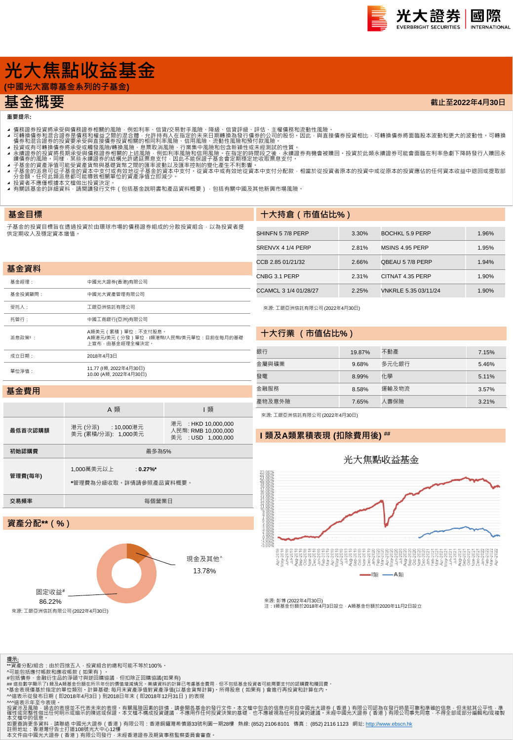

**截止至2022年4月30日**

# **光大焦點收益基金**

基金經理: 中國光大證券(香港)有限公司 基金投資顧問: 中國光大資產管理有限公司 受托人: 工銀亞洲信託有限公司 托管行: 中國工商銀行(亞洲)有限公司

成立日期: 2018年4月3日

單位淨值: 11.77 (I類, 2022年4月30日)

**(中國光大富尊基金系列的子基金)**

# **基金概要**

**重要提示:**

**基金目標**

**基金資料**

- 
- 4 可轉證券投資將承受與情務證券相關的風險,例如利率、信貸次易對手風險、降線、信貸評級、評估、主權債務和流動性風險。<br>4 可轉換債務業投資將承受與情務額證外相關的風險,例如利率、信貸次易對手風險、降風、有限部級行情勞的公司的股份,因此,與直接債券投資相比,可轉換債券將面臨股本波動和更大的波動性 可轉換<br>4 債券和混合證券的投資要承受與直接債券投資相關的相同利率風險、行業集中風險和頂待付款風險 •<br>1 積分和混合證券的投資要承受要項資
- 
- 
- 
- 
- **-** 13員有不應電低隊本大備成出及員公と:<br>◢ 有關該基金的詳細資料 · 請閱讀發行文件(包括基金說明書和產品資料概要) · 包括有關中國及其他新興市場風險 ·

A頼美元(累積)單位:不支付股息。<br>A類港元/美元(分發)單位:I類港幣/人民幣/美元單位:目前在每月的基礎<br>上宣布・由基金經理全權決定。

子基金的投資目標旨在透過投資於由環球市場的債務證券組成的分散投資組合,以為投資者提 供定期收入及穩定資本增值。

# **十大持倉(市值佔比%)**

| SHINFN 57/8 PERP      | 3.30% | BOCHKL 5.9 PERP      | 1.96% |
|-----------------------|-------|----------------------|-------|
| SRENVX 4 1/4 PERP     | 2.81% | MSINS 4.95 PERP      | 1.95% |
| CCB 2.85 01/21/32     | 2.66% | OBEAU 57/8 PERP      | 1.94% |
| CNBG 3.1 PERP         | 2.31% | CITNAT 4.35 PERP     | 1.90% |
| CCAMCL 3 1/4 01/28/27 | 2.25% | VNKRLE 5.35 03/11/24 | 1.90% |

來源: 工銀亞洲信託有限公司 (2022年4月30日)

### **十大行業 (市值佔比%)**

| 銀行     | 19.87% | 不動產   | 7.15% |
|--------|--------|-------|-------|
| 金屬與礦業  | 9.68%  | 多元化銀行 | 5.46% |
| 三發     | 8.99%  | 化學    | 5.11% |
| 金融服務   | 8.58%  | 運輸及物流 | 3.57% |
| 產物及意外險 | 7.65%  | 人壽保險  | 3.21% |

### **基金費用**

派息政策1:

|         | A 類                                                  | 類                                                                |  |  |  |  |  |  |  |
|---------|------------------------------------------------------|------------------------------------------------------------------|--|--|--|--|--|--|--|
| 最低首次認購額 | 港元(分派) : 10,000港元<br>美元 (累積/分派): 1,000美元             | 港元 : HKD 10,000,000<br>人民幣: RMB 10.000.000<br>美元 : USD 1.000.000 |  |  |  |  |  |  |  |
| 初始認購費   | 最多為5%                                                |                                                                  |  |  |  |  |  |  |  |
| 管理費(每年) | 1,000萬美元以上<br>$: 0.27\%$ *<br>*管理費為分級收取。詳情請參照產品資料概要。 |                                                                  |  |  |  |  |  |  |  |
| 交易頻率    | 每個營業日                                                |                                                                  |  |  |  |  |  |  |  |
|         |                                                      |                                                                  |  |  |  |  |  |  |  |
|         | 資產分配**(%)                                            |                                                                  |  |  |  |  |  |  |  |

10.00 (A類, 2022年4月30日)

# 來源: 工銀亞洲信託有限公司 (2022年4月30日)

## **I 類及A類累積表現 (扣除費用後) ##**



來源: 彭博 (2022年4月30日)<br>注:I類基金份額於2018年4月3日設立 · A類基金份額於2020年11月2日設立

| 00.2270 |
|---------|
|         |

固定收益# 86.22%

託有限公司 (2022年4月30日)

<mark>提示:</mark><br>\*\*資產分配/組合:由於四捨五入・投資組合的總和可能不等於100%。<br>^可能包括應付帳款和應收帳款(如果有)。

#包括債券、金融衍生品的淨頭寸與逆回購協議,但扣除正回購協議(如果有)<br>## 這些數字顯示了I 類及A類基金份額在所示年份的價值增減情況 • 業績資料的計算已考慮基金費用 · 但不包括基金投資者可能需要支付的認購費和贖回費 •

\*基金表現僅基於指定的單位類別。計算基礎: 每月末資產淨值對資產淨值(以基金貨幣計算)。所得股息(如果有)會進行再投資和計算在內。

^^這表示從發布日期(即2018年4月3日)到2018日年末(即2018年12月31日)的表現

^^這表示年至今表現。<br>投資涉及風險,過去的表現並不代表未來的表現。有關風險因素的詳情,請參閱各基金的發行文件。本文檔中包含的信息均來自中國光大證券(香港)有限公司認為在發行時是可靠和準確的信息,但未就其公平性,準<br>確中或信件做出任何明示或暗示的陳述或保證。本文檔不構成投資建議,不應用作任何投資決策的基礎,也不應被視為任何投資的建議。未經中國光大證券(香港)有限公司事先同意,不得全部或部分編輯和/或複製<br>本文檔中的信息。

本文檔中的信息 •<br>如要查詢更多資料 · 請聯絡 中國光大證券(香港)有限公司:香港銅鑼灣希慎道33號利園一期28樓 熱線: (852) 2106 8101 傳真: (852) 2116 1123 網址: <u>http://www.ebscn.hk</u>

現金及其他^ 13.78%

註冊地址:香港灣仔告士打道108號光大中心12樓<br>本文件由中國光大證券(香港)有限公司發行‧未經香港證券及期貨事務監察委員會審查。